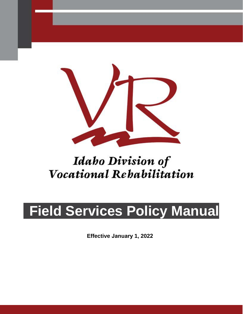

# *Idaho Division of Vocational Rehabilitation*

# **Field Services Policy Manual**

**Effective January 1, 2022**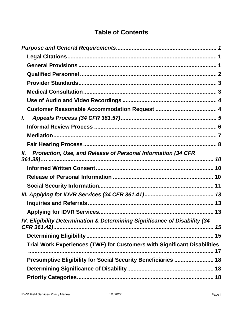# **Table of Contents**

| L                                                                          |
|----------------------------------------------------------------------------|
|                                                                            |
|                                                                            |
|                                                                            |
| Protection, Use, and Release of Personal Information (34 CFR<br>Ш.         |
|                                                                            |
|                                                                            |
|                                                                            |
|                                                                            |
|                                                                            |
|                                                                            |
| IV. Eligibility Determination & Determining Significance of Disability (34 |
|                                                                            |
| Trial Work Experiences (TWE) for Customers with Significant Disabilities   |
| Presumptive Eligibility for Social Security Beneficiaries  18              |
|                                                                            |
|                                                                            |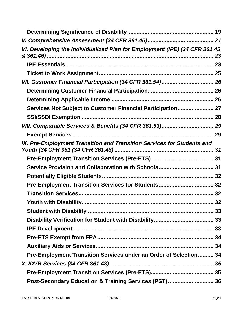| VI. Developing the Individualized Plan for Employment (IPE) (34 CFR 361.45 | 23 |
|----------------------------------------------------------------------------|----|
|                                                                            |    |
|                                                                            |    |
| VII. Customer Financial Participation (34 CFR 361.54) 26                   |    |
|                                                                            |    |
|                                                                            |    |
| Services Not Subject to Customer Financial Participation 27                |    |
|                                                                            |    |
|                                                                            |    |
|                                                                            |    |
| IX. Pre-Employment Transition and Transition Services for Students and     |    |
|                                                                            |    |
| Service Provision and Collaboration with Schools 31                        |    |
|                                                                            |    |
| Pre-Employment Transition Services for Students 32                         |    |
|                                                                            |    |
|                                                                            |    |
|                                                                            |    |
|                                                                            |    |
|                                                                            |    |
|                                                                            |    |
|                                                                            |    |
| Pre-Employment Transition Services under an Order of Selection 34          |    |
|                                                                            |    |
|                                                                            |    |
| Post-Secondary Education & Training Services (PST)  36                     |    |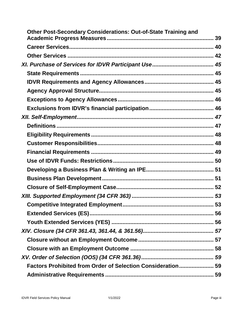| <b>Other Post-Secondary Considerations: Out-of-State Training and</b> |  |
|-----------------------------------------------------------------------|--|
|                                                                       |  |
|                                                                       |  |
|                                                                       |  |
|                                                                       |  |
|                                                                       |  |
|                                                                       |  |
|                                                                       |  |
|                                                                       |  |
|                                                                       |  |
|                                                                       |  |
|                                                                       |  |
|                                                                       |  |
|                                                                       |  |
|                                                                       |  |
|                                                                       |  |
|                                                                       |  |
|                                                                       |  |
|                                                                       |  |
|                                                                       |  |
|                                                                       |  |
|                                                                       |  |
|                                                                       |  |
|                                                                       |  |
|                                                                       |  |
|                                                                       |  |
| Factors Prohibited from Order of Selection Consideration 59           |  |
|                                                                       |  |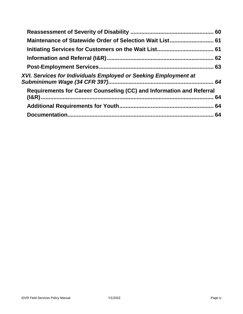| Maintenance of Statewide Order of Selection Wait List 61             |    |
|----------------------------------------------------------------------|----|
|                                                                      |    |
|                                                                      |    |
|                                                                      |    |
| XVI. Services for Individuals Employed or Seeking Employment at      |    |
| Requirements for Career Counseling (CC) and Information and Referral | 64 |
|                                                                      |    |
|                                                                      |    |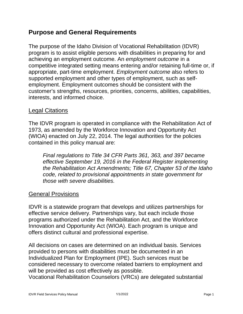# <span id="page-5-0"></span>**Purpose and General Requirements**

 The purpose of the Idaho Division of Vocational Rehabilitation (IDVR) program is to assist eligible persons with disabilities in preparing for and supported employment and other types of employment, such as self- customer's strengths, resources, priorities, concerns, abilities, capabilities, achieving an employment outcome. An *employment outcome* in a competitive integrated setting means entering and/or retaining full-time or, if appropriate, part-time employment. *Employment outcome* also refers to employment. Employment outcomes should be consistent with the interests, and informed choice.

#### <span id="page-5-1"></span>Legal Citations

 1973, as amended by the Workforce Innovation and Opportunity Act The IDVR program is operated in compliance with the Rehabilitation Act of (WIOA) enacted on July 22, 2014. The legal authorities for the policies contained in this policy manual are:

 *Final regulations to Title 34 CFR Parts 361, 363, and 397 became the Rehabilitation Act Amendments; Title 67, Chapter 53 of the Idaho code, related to provisional appointments in state government for effective September 19, 2016 in the Federal Register implementing those with severe disabilities.* 

#### <span id="page-5-2"></span>General Provisions

 IDVR is a statewide program that develops and utilizes partnerships for offers distinct cultural and professional expertise. effective service delivery. Partnerships vary, but each include those programs authorized under the Rehabilitation Act, and the Workforce Innovation and Opportunity Act (WIOA). Each program is unique and

 Individualized Plan for Employment (IPE). Such services must be All decisions on cases are determined on an individual basis. Services provided to persons with disabilities must be documented in an considered necessary to overcome related barriers to employment and will be provided as cost effectively as possible.

Vocational Rehabilitation Counselors (VRCs) are delegated substantial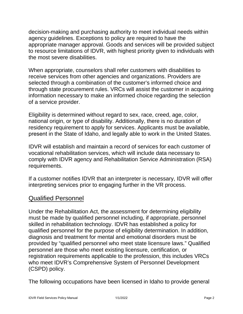appropriate manager approval. Goods and services will be provided subject decision-making and purchasing authority to meet individual needs within agency guidelines. Exceptions to policy are required to have the to resource limitations of IDVR, with highest priority given to individuals with the most severe disabilities.

 When appropriate, counselors shall refer customers with disabilities to selected through a combination of the customer's informed choice and through state procurement rules. VRCs will assist the customer in acquiring receive services from other agencies and organizations. Providers are information necessary to make an informed choice regarding the selection of a service provider.

 Eligibility is determined without regard to sex, race, creed, age, color, present in the State of Idaho, and legally able to work in the United States. national origin, or type of disability. Additionally, there is no duration of residency requirement to apply for services. Applicants must be available,

IDVR will establish and maintain a record of services for each customer of vocational rehabilitation services, which will include data necessary to comply with IDVR agency and Rehabilitation Service Administration (RSA) requirements.

If a customer notifies IDVR that an interpreter is necessary, IDVR will offer interpreting services prior to engaging further in the VR process.

# <span id="page-6-0"></span>Qualified Personnel

 skilled in rehabilitation technology. IDVR has established a policy for qualified personnel for the purpose of eligibility determination. In addition, Under the Rehabilitation Act, the assessment for determining eligibility must be made by qualified personnel including, if appropriate, personnel diagnosis and treatment for mental and emotional disorders must be provided by "qualified personnel who meet state licensure laws." Qualified personnel are those who meet existing licensure, certification, or registration requirements applicable to the profession, this includes VRCs who meet IDVR's Comprehensive System of Personnel Development (CSPD) policy.

The following occupations have been licensed in Idaho to provide general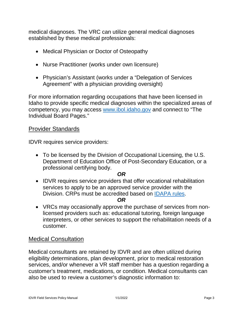<span id="page-7-2"></span>medical diagnoses. The VRC can utilize general medical diagnoses established by these medical professionals:

- Medical Physician or Doctor of Osteopathy
- Nurse Practitioner (works under own licensure)
- Physician's Assistant (works under a "Delegation of Services Agreement" with a physician providing oversight)

competency, you may access [www.ibol.idaho.gov](http://www.ibol.idaho.gov/) and connect to "The For more information regarding occupations that have been licensed in Idaho to provide specific medical diagnoses within the specialized areas of Individual Board Pages."

#### <span id="page-7-0"></span>Provider Standards

IDVR requires service providers:

 professional certifying body. • To be licensed by the Division of Occupational Licensing, the U.S. Department of Education Office of Post-Secondary Education, or a

#### *OR*

Division. CRPs must be accredited based on **IDAPA rules**. • IDVR requires service providers that offer vocational rehabilitation services to apply to be an approved service provider with the

#### *OR*

 interpreters, or other services to support the rehabilitation needs of a • VRCs may occasionally approve the purchase of services from nonlicensed providers such as: educational tutoring, foreign language customer.

#### <span id="page-7-1"></span>Medical Consultation

 eligibility determinations, plan development, prior to medical restoration services, and/or whenever a VR staff member has a question regarding a customer's treatment, medications, or condition. Medical consultants can Medical consultants are retained by IDVR and are often utilized during also be used to review a customer's diagnostic information to: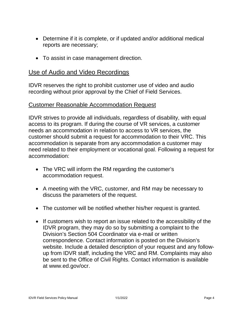- • Determine if it is complete, or if updated and/or additional medical reports are necessary;
- To assist in case management direction.

#### <span id="page-8-0"></span>Use of Audio and Video Recordings

 IDVR reserves the right to prohibit customer use of video and audio recording without prior approval by the Chief of Field Services.<br><u>Customer Reasonable Accommodation Request</u>

<span id="page-8-1"></span> access to its program. If during the course of VR services, a customer needs an accommodation in relation to access to VR services, the IDVR strives to provide all individuals, regardless of disability, with equal customer should submit a request for accommodation to their VRC. This accommodation is separate from any accommodation a customer may need related to their employment or vocational goal. Following a request for accommodation:

- • The VRC will inform the RM regarding the customer's accommodation request.
- • A meeting with the VRC, customer, and RM may be necessary to discuss the parameters of the request.
- The customer will be notified whether his/her request is granted.
- • If customers wish to report an issue related to the accessibility of the IDVR program, they may do so by submitting a complaint to the up from IDVR staff, including the VRC and RM. Complaints may also Division's Section 504 Coordinator via e-mail or written correspondence. Contact information is posted on the Division's website. Include a detailed description of your request and any followbe sent to the Office of Civil Rights. Contact information is available at [www.ed.gov/ocr.](http://www.ed.gov/ocr)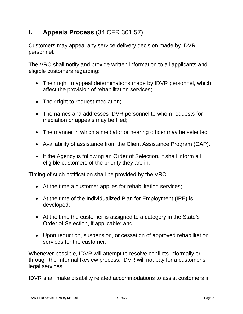# <span id="page-9-0"></span>**I. Appeals Process** (34 CFR 361.57)

Customers may appeal any service delivery decision made by IDVR personnel.

 The VRC shall notify and provide written information to all applicants and eligible customers regarding:

- affect the provision of rehabilitation services; • Their right to appeal determinations made by IDVR personnel, which
- Their right to request mediation;
- The names and addresses IDVR personnel to whom requests for mediation or appeals may be filed;
- The manner in which a mediator or hearing officer may be selected;
- Availability of assistance from the Client Assistance Program (CAP).
- eligible customers of the priority they are in. • If the Agency is following an Order of Selection, it shall inform all

Timing of such notification shall be provided by the VRC:

- At the time a customer applies for rehabilitation services;
- • At the time of the Individualized Plan for Employment (IPE) is developed;
- At the time the customer is assigned to a category in the State's Order of Selection, if applicable; and
- services for the customer. • Upon reduction, suspension, or cessation of approved rehabilitation

 through the Informal Review process. IDVR will not pay for a customer's Whenever possible, IDVR will attempt to resolve conflicts informally or legal services*.* 

IDVR shall make disability related accommodations to assist customers in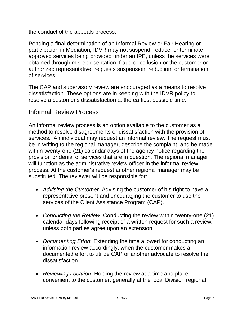the conduct of the appeals process.

 authorized representative, requests suspension, reduction, or termination Pending a final determination of an Informal Review or Fair Hearing or participation in Mediation, IDVR may not suspend, reduce, or terminate approved services being provided under an IPE, unless the services were obtained through misrepresentation, fraud or collusion or the customer or of services.

 The CAP and supervisory review are encouraged as a means to resolve dissatisfaction. These options are in keeping with the IDVR policy to resolve a customer's dissatisfaction at the earliest possible time.

# <span id="page-10-0"></span>Informal Review Process

 An informal review process is an option available to the customer as a method to resolve disagreements or dissatisfaction with the provision of be in writing to the regional manager, describe the complaint, and be made within twenty-one (21) calendar days of the agency notice regarding the provision or denial of services that are in question. The regional manager will function as the administrative review officer in the informal review process. At the customer's request another regional manager may be substituted. The reviewer will be responsible for: services. An individual may request an informal review. The request must

- representative present and encouraging the customer to use the services of the Client Assistance Program (CAP). • *Advising the Customer.* Advising the customer of his right to have a
- *Conducting the Review.* Conducting the review within twenty-one (21) calendar days following receipt of a written request for such a review, unless both parties agree upon an extension.
- documented effort to utilize CAP or another advocate to resolve the dissatisfaction. • *Documenting Effort.* Extending the time allowed for conducting an information review accordingly, when the customer makes a
- • *Reviewing Location*. Holding the review at a time and place convenient to the customer, generally at the local Division regional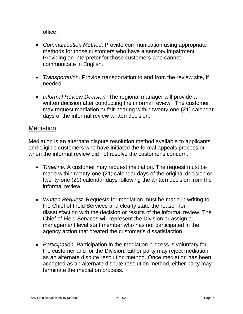office.

- methods for those customers who have a sensory impairment. • *Communication Method*. Provide communication using appropriate Providing an interpreter for those customers who cannot communicate in English.
- • *Transportation*. Provide transportation to and from the review site, if needed.
- written decision after conducting the informal review. The customer may request mediation or fair hearing within twenty-one (21) calendar • *Informal Review Decision.* The regional manager will provide a days of the informal review written decision.

## <span id="page-11-0"></span>**Mediation**

Mediation is an alternate dispute resolution method available to applicants and eligible customers who have initiated the formal appeals process or when the informal review did not resolve the customer's concern.

- • *Timeline.* A customer may request mediation. The request must be made within twenty-one (21) calendar days of the original decision or twenty-one (21) calendar days following the written decision from the informal review.
- management level staff member who has not participated in the • *Written Request.* Requests for mediation must be made in writing to the Chief of Field Services and clearly state the reason for dissatisfaction with the decision or results of the informal review. The Chief of Field Services will represent the Division or assign a agency action that created the customer's dissatisfaction.
- • *Participation.* Participation in the mediation process is voluntary for the customer and for the Division. Either party may reject mediation terminate the mediation process. as an alternate dispute resolution method. Once mediation has been accepted as an alternate dispute resolution method, either party may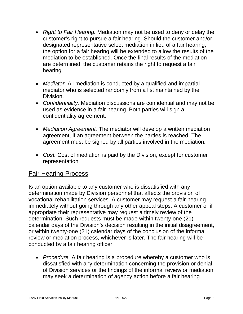- customer's right to pursue a fair hearing. Should the customer and/or the option for a fair hearing will be extended to allow the results of the mediation to be established. Once the final results of the mediation are determined, the customer retains the right to request a fair hearing. • *Right to Fair Hearing.* Mediation may not be used to deny or delay the designated representative select mediation in lieu of a fair hearing,
- • *Mediator.* All mediation is conducted by a qualified and impartial mediator who is selected randomly from a list maintained by the Division.
- *Confidentiality.* Mediation discussions are confidential and may not be used as evidence in a fair hearing. Both parties will sign a confidentiality agreement.
- agreement, if an agreement between the parties is reached. The • *Mediation Agreement.* The mediator will develop a written mediation agreement must be signed by all parties involved in the mediation.
- • *Cost.* Cost of mediation is paid by the Division, except for customer representation.

# <span id="page-12-0"></span>Fair Hearing Process

 Is an option available to any customer who is dissatisfied with any immediately without going through any other appeal steps. A customer or if calendar days of the Division's decision resulting in the initial disagreement, or within twenty-one (21) calendar days of the conclusion of the informal determination made by Division personnel that affects the provision of vocational rehabilitation services. A customer may request a fair hearing appropriate their representative may request a timely review of the determination. Such requests must be made within twenty-one (21) review or mediation process, whichever is later. The fair hearing will be conducted by a fair hearing officer.

 may seek a determination of agency action before a fair hearing • *Procedure.* A fair hearing is a procedure whereby a customer who is dissatisfied with any determination concerning the provision or denial of Division services or the findings of the informal review or mediation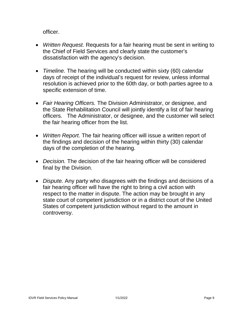officer.

- • *Written Request.* Requests for a fair hearing must be sent in writing to the Chief of Field Services and clearly state the customer's dissatisfaction with the agency's decision.
- • *Timeline.* The hearing will be conducted within sixty (60) calendar days of receipt of the individual's request for review, unless informal resolution is achieved prior to the 60th day, or both parties agree to a specific extension of time.
- • *Fair Hearing Officers.* The Division Administrator, or designee, and the fair hearing officer from the list. the State Rehabilitation Council will jointly identify a list of fair hearing officers. The Administrator, or designee, and the customer will select
- • *Written Report.* The fair hearing officer will issue a written report of the findings and decision of the hearing within thirty (30) calendar days of the completion of the hearing.
- • *Decision.* The decision of the fair hearing officer will be considered final by the Division.
- • *Dispute.* Any party who disagrees with the findings and decisions of a respect to the matter in dispute. The action may be brought in any state court of competent jurisdiction or in a district court of the United controversy. fair hearing officer will have the right to bring a civil action with States of competent jurisdiction without regard to the amount in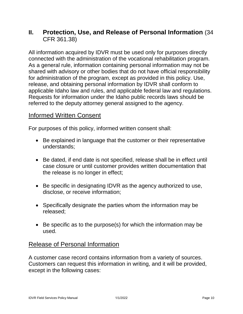# <span id="page-14-0"></span>**II. Protection, Use, and Release of Personal Information** (34 CFR 361.38)

 All information acquired by IDVR must be used only for purposes directly As a general rule, information containing personal information may not be shared with advisory or other bodies that do not have official responsibility release, and obtaining personal information by IDVR shall conform to applicable Idaho law and rules, and applicable federal law and regulations. referred to the deputy attorney general assigned to the agency. connected with the administration of the vocational rehabilitation program. for administration of the program, except as provided in this policy. Use, Requests for information under the Idaho public records laws should be

#### <span id="page-14-1"></span>Informed Written Consent

For purposes of this policy, informed written consent shall:

- • Be explained in language that the customer or their representative understands;
- Be dated, if end date is not specified, release shall be in effect until case closure or until customer provides written documentation that the release is no longer in effect;
- • Be specific in designating IDVR as the agency authorized to use, disclose, or receive information;
- Specifically designate the parties whom the information may be released;
- • Be specific as to the purpose(s) for which the information may be used.

# <span id="page-14-2"></span>Release of Personal Information

A customer case record contains information from a variety of sources. Customers can request this information in writing, and it will be provided, except in the following cases: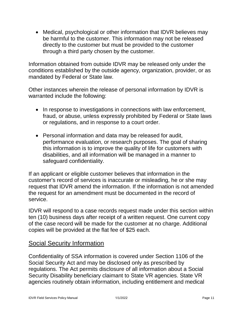• Medical, psychological or other information that IDVR believes may be harmful to the customer. This information may not be released through a third party chosen by the customer. directly to the customer but must be provided to the customer

Information obtained from outside IDVR may be released only under the conditions established by the outside agency, organization, provider, or as mandated by Federal or State law.

Other instances wherein the release of personal information by IDVR is warranted include the following:

- fraud, or abuse, unless expressly prohibited by Federal or State laws or regulations, and in response to a court order. • In response to investigations in connections with law enforcement,
- • Personal information and data may be released for audit, performance evaluation, or research purposes. The goal of sharing this information is to improve the quality of life for customers with disabilities, and all information will be managed in a manner to safeguard confidentiality.

 If an applicant or eligible customer believes that information in the customer's record of services is inaccurate or misleading, he or she may request that IDVR amend the information. If the information is not amended the request for an amendment must be documented in the record of service.

 IDVR will respond to a case records request made under this section within ten (10) business days after receipt of a written request. One current copy of the case record will be made for the customer at no charge. Additional copies will be provided at the flat fee of \$25 each.

# <span id="page-15-0"></span>Social Security Information

 Confidentiality of SSA information is covered under Section 1106 of the regulations. The Act permits disclosure of all information about a Social Security Disability beneficiary claimant to State VR agencies. State VR Social Security Act and may be disclosed only as prescribed by agencies routinely obtain information, including entitlement and medical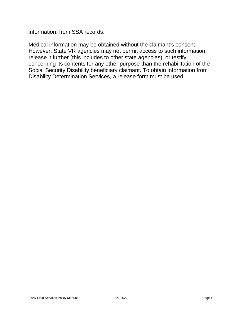information, from SSA records.

 Medical information may be obtained without the claimant's consent. However, State VR agencies may not permit access to such information, release it further (this includes to other state agencies), or testify concerning its contents for any other purpose than the rehabilitation of the Social Security Disability beneficiary claimant. To obtain information from Disability Determination Services, a release form must be used.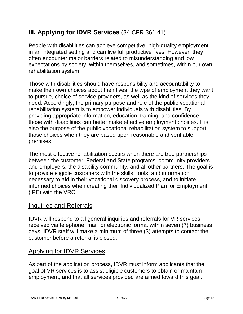# <span id="page-17-0"></span>**III. Applying for IDVR Services** (34 CFR 361.41)

 People with disabilities can achieve competitive, high-quality employment in an integrated setting and can live full productive lives. However, they often encounter major barriers related to misunderstanding and low expectations by society, within themselves, and sometimes, within our own rehabilitation system.

 to pursue, choice of service providers, as well as the kind of services they those with disabilities can better make effective employment choices. It is also the purpose of the public vocational rehabilitation system to support Those with disabilities should have responsibility and accountability to make their own choices about their lives, the type of employment they want need. Accordingly, the primary purpose and role of the public vocational rehabilitation system is to empower individuals with disabilities. By providing appropriate information, education, training, and confidence, those choices when they are based upon reasonable and verifiable premises.

 informed choices when creating their Individualized Plan for Employment The most effective rehabilitation occurs when there are true partnerships between the customer, Federal and State programs, community providers and employers, the disability community, and all other partners. The goal is to provide eligible customers with the skills, tools, and information necessary to aid in their vocational discovery process, and to initiate (IPE) with the VRC.

#### <span id="page-17-1"></span>Inquiries and Referrals

 IDVR will respond to all general inquiries and referrals for VR services days. IDVR staff will make a minimum of three (3) attempts to contact the customer before a referral is closed. received via telephone, mail, or electronic format within seven (7) business

#### <span id="page-17-2"></span>Applying for IDVR Services

<u>Applying for IDVR Services</u><br>As part of the application process, IDVR must inform applicants that the goal of VR services is to assist eligible customers to obtain or maintain employment, and that all services provided are aimed toward this goal.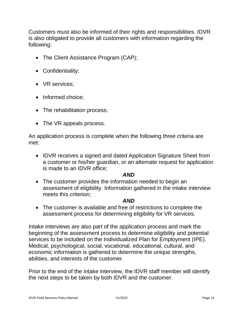is also obligated to provide all customers with information regarding the Customers must also be informed of their rights and responsibilities. IDVR following:

- The Client Assistance Program (CAP);
- Confidentiality;
- VR services;
- Informed choice:
- The rehabilitation process;
- The VR appeals process.

An application process is complete when the following three criteria are met:

 • IDVR receives a signed and dated Application Signature Sheet from a customer or his/her guardian, or an alternate request for application is made to an IDVR office;

#### *AND*

 meets this criterion; • The customer provides the information needed to begin an assessment of eligibility. Information gathered in the intake interview

#### *AND*

• The customer is available and free of restrictions to complete the assessment process for determining eligibility for VR services.

 Intake interviews are also part of the application process and mark the abilities, and interests of the customer. beginning of the assessment process to determine eligibility and potential services to be included on the Individualized Plan for Employment (IPE). Medical, psychological, social, vocational, educational, cultural, and economic information is gathered to determine the unique strengths,

 the next steps to be taken by both IDVR and the customer. Prior to the end of the intake interview, the IDVR staff member will identify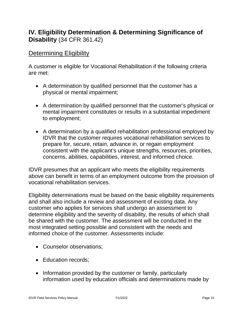# <span id="page-19-0"></span>**IV. Eligibility Determination & Determining Significance of Disability** (34 CFR 361.42)

## <span id="page-19-1"></span>**Determining Eligibility**

 A customer is eligible for Vocational Rehabilitation if the following criteria are met:

- • A determination by qualified personnel that the customer has a physical or mental impairment;
- • A determination by qualified personnel that the customer's physical or mental impairment constitutes or results in a substantial impediment to employment;
- IDVR that the customer requires vocational rehabilitation services to prepare for, secure, retain, advance in, or regain employment consistent with the applicant's unique strengths, resources, priorities, • A determination by a qualified rehabilitation professional employed by concerns, abilities, capabilities, interest, and informed choice.

IDVR presumes that an applicant who meets the eligibility requirements above can benefit in terms of an employment outcome from the provision of vocational rehabilitation services.

 determine eligibility and the severity of disability, the results of which shall be shared with the customer. The assessment will be conducted in the Eligibility determinations must be based on the basic eligibility requirements and shall also include a review and assessment of existing data. Any customer who applies for services shall undergo an assessment to most integrated setting possible and consistent with the needs and informed choice of the customer. Assessments include:

- Counselor observations;
- Education records;
- • Information provided by the customer or family, particularly information used by education officials and determinations made by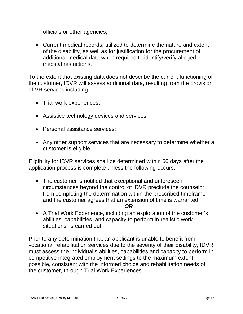officials or other agencies;

 of the disability, as well as for justification for the procurement of • Current medical records, utilized to determine the nature and extent additional medical data when required to identify/verify alleged medical restrictions.

 of VR services including: To the extent that existing data does not describe the current functioning of the customer, IDVR will assess additional data, resulting from the provision

- Trial work experiences;
- Assistive technology devices and services;
- Personal assistance services:
- customer is eligible. • Any other support services that are necessary to determine whether a

 Eligibility for IDVR services shall be determined within 60 days after the application process is complete unless the following occurs:

 circumstances beyond the control of IDVR preclude the counselor • The customer is notified that exceptional and unforeseen from completing the determination within the prescribed timeframe and the customer agrees that an extension of time is warranted;

#### *OR*

 • A Trial Work Experience, including an exploration of the customer's abilities, capabilities, and capacity to perform in realistic work situations, is carried out.

 Prior to any determination that an applicant is unable to benefit from vocational rehabilitation services due to the severity of their disability, IDVR possible, consistent with the informed choice and rehabilitation needs of must assess the individual's abilities, capabilities and capacity to perform in competitive integrated employment settings to the maximum extent the customer, through Trial Work Experiences.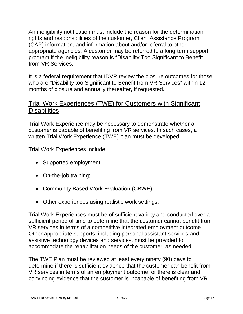An ineligibility notification must include the reason for the determination, (CAP) information, and information about and/or referral to other program if the ineligibility reason is "Disability Too Significant to Benefit rights and responsibilities of the customer, Client Assistance Program appropriate agencies. A customer may be referred to a long-term support from VR Services."

 It is a federal requirement that IDVR review the closure outcomes for those who are "Disability too Significant to Benefit from VR Services" within 12 months of closure and annually thereafter, if requested.

# <span id="page-21-0"></span> Trial Work Experiences (TWE) for Customers with Significant **Disabilities**

 Trial Work Experience may be necessary to demonstrate whether a customer is capable of benefiting from VR services. In such cases, a written Trial Work Experience (TWE) plan must be developed.

Trial Work Experiences include:

- Supported employment;
- On-the-job training;
- Community Based Work Evaluation (CBWE);
- Other experiences using realistic work settings.

 sufficient period of time to determine that the customer cannot benefit from VR services in terms of a competitive integrated employment outcome. accommodate the rehabilitation needs of the customer, as needed. Trial Work Experiences must be of sufficient variety and conducted over a Other appropriate supports, including personal assistant services and assistive technology devices and services, must be provided to

 determine if there is sufficient evidence that the customer can benefit from VR services in terms of an employment outcome, or there is clear and convincing evidence that the customer is incapable of benefiting from VR The TWE Plan must be reviewed at least every ninety (90) days to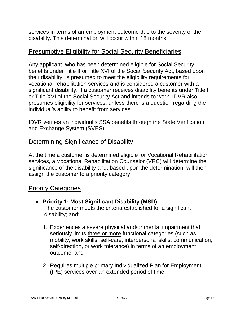services in terms of an employment outcome due to the severity of the disability. This determination will occur within 18 months.

<span id="page-22-0"></span><u>Presumptive Eligibility for Social Security Beneficiaries</u><br>Any applicant, who has been determined eligible for Social Security Any applicant, who has been determined eligible for Social Security benefits under Title II or Title XVI of the Social Security Act, based upon their disability, is presumed to meet the eligibility requirements for significant disability. If a customer receives disability benefits under Title II or Title XVI of the Social Security Act and intends to work, IDVR also individual's ability to benefit from services. vocational rehabilitation services and is considered a customer with a presumes eligibility for services, unless there is a question regarding the

 and Exchange System (SVES). IDVR verifies an individual's SSA benefits through the State Verification

# <span id="page-22-1"></span>Determining Significance of Disability

 services, a Vocational Rehabilitation Counselor (VRC) will determine the significance of the disability and, based upon the determination, will then At the time a customer is determined eligible for Vocational Rehabilitation assign the customer to a priority category.

#### <span id="page-22-2"></span>Priority Categories

- **Priority 1: Most Significant Disability (MSD)** The customer meets the criteria established for a significant disability; and:
	- 1. Experiences a severe physical and/or mental impairment that seriously limits three or more functional categories (such as mobility, work skills, self-care, interpersonal skills, communication, self-direction, or work tolerance) in terms of an employment outcome; and
	- 2. Requires multiple primary Individualized Plan for Employment (IPE) services over an extended period of time.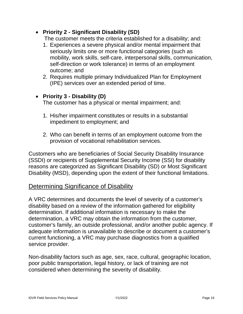#### • **Priority 2 - Significant Disability (SD)**

The customer meets the criteria established for a disability; and:

- 1. Experiences a severe physical and/or mental impairment that seriously limits one or more functional categories (such as mobility, work skills, self-care, interpersonal skills, communication, self-direction or work tolerance) in terms of an employment outcome; and
- 2. Requires multiple primary Individualized Plan for Employment (IPE) services over an extended period of time.

#### • **Priority 3 - Disability (D)**

The customer has a physical or mental impairment; and:

- 1. His/her impairment constitutes or results in a substantial impediment to employment; and
- 2. Who can benefit in terms of an employment outcome from the provision of vocational rehabilitation services.

 reasons are categorized as Significant Disability (SD) or Most Significant Disability (MSD), depending upon the extent of their functional limitations. Customers who are beneficiaries of Social Security Disability Insurance (SSDI) or recipients of Supplemental Security Income (SSI) for disability

# <span id="page-23-0"></span>Determining Significance of Disability

 A VRC determines and documents the level of severity of a customer's determination. If additional information is necessary to make the determination, a VRC may obtain the information from the customer, customer's family, an outside professional, and/or another public agency. If adequate information is unavailable to describe or document a customer's disability based on a review of the information gathered for eligibility current functioning, a VRC may purchase diagnostics from a qualified service provider.

 Non-disability factors such as age, sex, race, cultural, geographic location, poor public transportation, legal history, or lack of training are not considered when determining the severity of disability.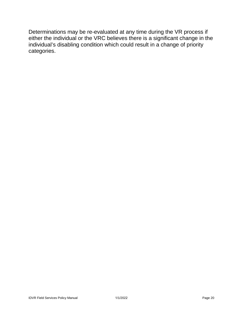either the individual or the VRC believes there is a significant change in the Determinations may be re-evaluated at any time during the VR process if individual's disabling condition which could result in a change of priority categories.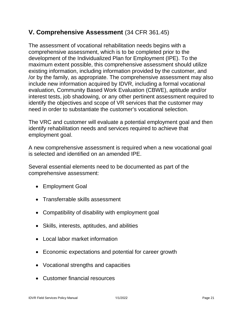# <span id="page-25-0"></span>**V. Comprehensive Assessment** (34 CFR 361.45)

 The assessment of vocational rehabilitation needs begins with a comprehensive assessment, which is to be completed prior to the development of the Individualized Plan for Employment (IPE). To the /or by the family, as appropriate. The comprehensive assessment may also identify the objectives and scope of VR services that the customer may need in order to substantiate the customer's vocational selection. maximum extent possible, this comprehensive assessment should utilize existing information, including information provided by the customer, and include new information acquired by IDVR, including a formal vocational evaluation, Community Based Work Evaluation (CBWE), aptitude and/or interest tests, job shadowing, or any other pertinent assessment required to

 The VRC and customer will evaluate a potential employment goal and then identify rehabilitation needs and services required to achieve that employment goal.

A new comprehensive assessment is required when a new vocational goal is selected and identified on an amended IPE.

 Several essential elements need to be documented as part of the comprehensive assessment:

- Employment Goal
- Transferrable skills assessment
- Compatibility of disability with employment goal
- Skills, interests, aptitudes, and abilities
- Local labor market information
- Economic expectations and potential for career growth
- Vocational strengths and capacities
- Customer financial resources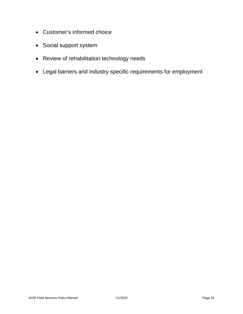- Customer's informed choice
- Social support system
- Review of rehabilitation technology needs
- Legal barriers and industry specific requirements for employment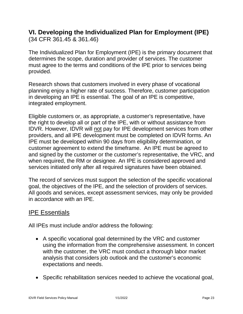# <span id="page-27-0"></span>**VI. Developing the Individualized Plan for Employment (IPE)**

(34 CFR 361.45 & 361.46)

 The Individualized Plan for Employment (IPE) is the primary document that determines the scope, duration and provider of services. The customer must agree to the terms and conditions of the IPE prior to services being provided.

 Research shows that customers involved in every phase of vocational planning enjoy a higher rate of success. Therefore, customer participation in developing an IPE is essential. The goal of an IPE is competitive, integrated employment.

 Eligible customers or, as appropriate, a customer's representative, have the right to develop all or part of the IPE, with or without assistance from customer agreement to extend the timeframe. An IPE must be agreed to and signed by the customer or the customer's representative, the VRC, and IDVR. However, IDVR will not pay for IPE development services from other providers, and all IPE development must be completed on IDVR forms. An IPE must be developed within 90 days from eligibility determination, or when required, the RM or designee. An IPE is considered approved and services initiated only after all required signatures have been obtained.

The record of services must support the selection of the specific vocational goal, the objectives of the IPE, and the selection of providers of services. All goods and services, except assessment services, may only be provided in accordance with an IPE.

# <span id="page-27-1"></span>IPE Essentials

All IPEs must include and/or address the following:

- • A specific vocational goal determined by the VRC and customer using the information from the comprehensive assessment. In concert analysis that considers job outlook and the customer's economic with the customer, the VRC must conduct a thorough labor market expectations and needs.
- Specific rehabilitation services needed to achieve the vocational goal,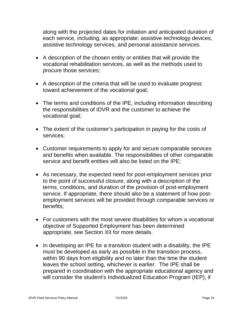along with the projected dates for initiation and anticipated duration of assistive technology services, and personal assistance services. each service, including, as appropriate: assistive technology devices,

- vocational rehabilitation services, as well as the methods used to procure those services; • A description of the chosen entity or entities that will provide the
- • A description of the criteria that will be used to evaluate progress toward achievement of the vocational goal;
- • The terms and conditions of the IPE, including information describing the responsibilities of IDVR and the customer to achieve the vocational goal;
- The extent of the customer's participation in paying for the costs of services;
- • Customer requirements to apply for and secure comparable services service and benefit entities will also be listed on the IPE; and benefits when available. The responsibilities of other comparable
- • As necessary, the expected need for post-employment services prior terms, conditions, and duration of the provision of post-employment service. If appropriate, there should also be a statement of how postto the point of successful closure, along with a description of the employment services will be provided through comparable services or benefits;
- • For customers with the most severe disabilities for whom a vocational objective of Supported Employment has been determined appropriate, see Section XII for more details.
- • In developing an IPE for a transition student with a disability, the IPE must be developed as early as possible in the transition process, leaves the school setting, whichever is earlier. The IPE shall be prepared in coordination with the appropriate educational agency and within 90 days from eligibility and no later than the time the student will consider the student's Individualized Education Program (IEP), if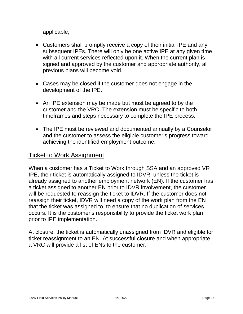applicable;

- with all current services reflected upon it. When the current plan is • Customers shall promptly receive a copy of their initial IPE and any subsequent IPEs. There will only be one active IPE at any given time signed and approved by the customer and appropriate authority, all previous plans will become void.
- • Cases may be closed if the customer does not engage in the development of the IPE.
- customer and the VRC. The extension must be specific to both • An IPE extension may be made but must be agreed to by the timeframes and steps necessary to complete the IPE process.
- and the customer to assess the eligible customer's progress toward • The IPE must be reviewed and documented annually by a Counselor achieving the identified employment outcome.

## <span id="page-29-0"></span>Ticket to Work Assignment

 When a customer has a Ticket to Work through SSA and an approved VR IPE, their ticket is automatically assigned to IDVR, unless the ticket is a ticket assigned to another EN prior to IDVR involvement, the customer will be requested to reassign the ticket to IDVR. If the customer does not reassign their ticket, IDVR will need a copy of the work plan from the EN that the ticket was assigned to, to ensure that no duplication of services occurs. It is the customer's responsibility to provide the ticket work plan prior to IPE implementation. already assigned to another employment network (EN). If the customer has

 At closure, the ticket is automatically unassigned from IDVR and eligible for a VRC will provide a list of ENs to the customer. ticket reassignment to an EN. At successful closure and when appropriate,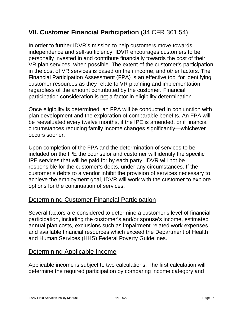# <span id="page-30-0"></span>**VII. Customer Financial Participation** (34 CFR 361.54)

 In order to further IDVR's mission to help customers move towards independence and self-sufficiency, IDVR encourages customers to be personally invested in and contribute financially towards the cost of their VR plan services, when possible. The extent of the customer's participation regardless of the amount contributed by the customer. Financial in the cost of VR services is based on their income, and other factors. The Financial Participation Assessment (FPA) is an effective tool for identifying customer resources as they relate to VR planning and implementation, participation consideration is not a factor in eligibility determination.

 plan development and the exploration of comparable benefits. An FPA will be reevaluated every twelve months, if the IPE is amended, or if financial occurs sooner. Once eligibility is determined, an FPA will be conducted in conjunction with circumstances reducing family income changes significantly—whichever

 responsible for the customer's debts, under any circumstances. If the achieve the employment goal, IDVR will work with the customer to explore options for the continuation of services. Upon completion of the FPA and the determination of services to be included on the IPE the counselor and customer will identify the specific IPE services that will be paid for by each party. IDVR will not be customer's debts to a vendor inhibit the provision of services necessary to

# <span id="page-30-1"></span>Determining Customer Financial Participation

 Several factors are considered to determine a customer's level of financial participation, including the customer's and/or spouse's income, estimated annual plan costs, exclusions such as impairment-related work expenses, and Human Services (HHS) Federal Poverty Guidelines. and available financial resources which exceed the Department of Health

# <span id="page-30-2"></span>Determining Applicable Income

 Applicable income is subject to two calculations. The first calculation will determine the required participation by comparing income category and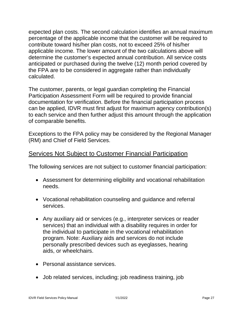expected plan costs. The second calculation identifies an annual maximum percentage of the applicable income that the customer will be required to contribute toward his/her plan costs, not to exceed 25% of his/her applicable income. The lower amount of the two calculations above will determine the customer's expected annual contribution. All service costs anticipated or purchased during the twelve (12) month period covered by the FPA are to be considered in aggregate rather than individually calculated.

 The customer, parents, or legal guardian completing the Financial Participation Assessment Form will be required to provide financial documentation for verification. Before the financial participation process can be applied, IDVR must first adjust for maximum agency contribution(s) to each service and then further adjust this amount through the application of comparable benefits.

 Exceptions to the FPA policy may be considered by the Regional Manager (RM) and Chief of Field Services.

#### <span id="page-31-0"></span>Services Not Subject to Customer Financial Participation

The following services are not subject to customer financial participation:

- Assessment for determining eligibility and vocational rehabilitation needs.
- Vocational rehabilitation counseling and guidance and referral services.
- • Any auxiliary aid or services (e.g., interpreter services or reader services) that an individual with a disability requires in order for the individual to participate in the vocational rehabilitation program. Note: Auxiliary aids and services do not include personally prescribed devices such as eyeglasses, hearing aids, or wheelchairs.
- Personal assistance services.
- Job related services, including; job readiness training, job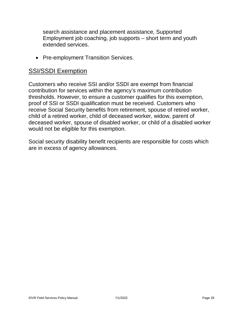search assistance and placement assistance, Supported Employment job coaching, job supports – short term and youth extended services.

• Pre-employment Transition Services.

#### <span id="page-32-0"></span>SSI/SSDI Exemption

 contribution for services within the agency's maximum contribution thresholds. However, to ensure a customer qualifies for this exemption, deceased worker, spouse of disabled worker, or child of a disabled worker would not be eligible for this exemption. Customers who receive SSI and/or SSDI are exempt from financial proof of SSI or SSDI qualification must be received. Customers who receive Social Security benefits from retirement, spouse of retired worker, child of a retired worker, child of deceased worker, widow, parent of

 Social security disability benefit recipients are responsible for costs which are in excess of agency allowances.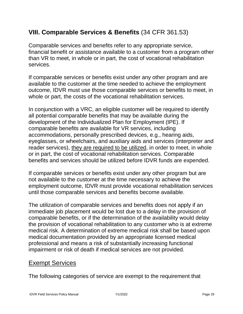# <span id="page-33-0"></span>**VIII. Comparable Services & Benefits** (34 CFR 361.53)

 than VR to meet, in whole or in part, the cost of vocational rehabilitation Comparable services and benefits refer to any appropriate service, financial benefit or assistance available to a customer from a program other services.

 available to the customer at the time needed to achieve the employment outcome, IDVR must use those comparable services or benefits to meet, in If comparable services or benefits exist under any other program and are whole or part, the costs of the vocational rehabilitation services.

 In conjunction with a VRC, an eligible customer will be required to identify eyeglasses, or wheelchairs, and auxiliary aids and services (interpreter and reader services), they are required to be utilized, in order to meet, in whole benefits and services should be utilized before IDVR funds are expended. all potential comparable benefits that may be available during the development of the Individualized Plan for Employment (IPE). If comparable benefits are available for VR services, including accommodations, personally prescribed devices, e.g., hearing aids, or in part, the cost of vocational rehabilitation services. Comparable

 not available to the customer at the time necessary to achieve the If comparable services or benefits exist under any other program but are employment outcome, IDVR must provide vocational rehabilitation services until those comparable services and benefits become available.

 medical risk. A determination of extreme medical risk shall be based upon professional and means a risk of substantially increasing functional impairment or risk of death if medical services are not provided. The utilization of comparable services and benefits does not apply if an immediate job placement would be lost due to a delay in the provision of comparable benefits, or if the determination of the availability would delay the provision of vocational rehabilitation to any customer who is at extreme medical documentation provided by an appropriate licensed medical

#### <span id="page-33-1"></span>Exempt Services

The following categories of service are exempt to the requirement that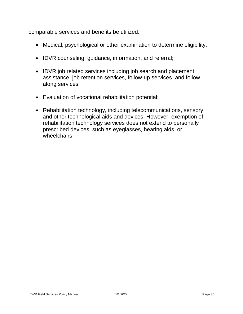comparable services and benefits be utilized:

- Medical, psychological or other examination to determine eligibility;
- IDVR counseling, guidance, information, and referral;
- assistance, job retention services, follow-up services, and follow • IDVR job related services including job search and placement along services;
- Evaluation of vocational rehabilitation potential;
- Rehabilitation technology, including telecommunications, sensory, and other technological aids and devices. However, exemption of rehabilitation technology services does not extend to personally prescribed devices, such as eyeglasses, hearing aids, or wheelchairs.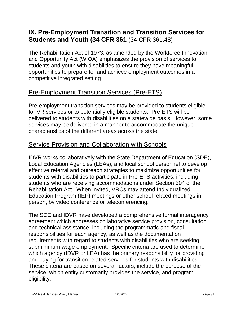# <span id="page-35-0"></span>**IX. Pre-Employment Transition and Transition Services for Students and Youth (34 CFR 361** (34 CFR 361.48)

 and Opportunity Act (WIOA) emphasizes the provision of services to opportunities to prepare for and achieve employment outcomes in a The Rehabilitation Act of 1973, as amended by the Workforce Innovation students and youth with disabilities to ensure they have meaningful competitive integrated setting.

# <span id="page-35-1"></span>Pre-Employment Transition Services (Pre-ETS)

 Pre-employment transition services may be provided to students eligible for VR services or to potentially eligible students. Pre-ETS will be delivered to students with disabilities on a statewide basis. However, some services may be delivered in a manner to accommodate the unique characteristics of the different areas across the state.

# <span id="page-35-2"></span>Service Provision and Collaboration with Schools

 effective referral and outreach strategies to maximize opportunities for students with disabilities to participate in Pre-ETS activities, including students who are receiving accommodations under Section 504 of the Rehabilitation Act. When invited, VRCs may attend Individualized person, by video conference or teleconferencing. IDVR works collaboratively with the State Department of Education (SDE), Local Education Agencies (LEAs), and local school personnel to develop Education Program (IEP) meetings or other school related meetings in

 and technical assistance, including the programmatic and fiscal requirements with regard to students with disabilities who are seeking subminimum wage employment. Specific criteria are used to determine and paying for transition related services for students with disabilities. service, which entity customarily provides the service, and program The SDE and IDVR have developed a comprehensive formal interagency agreement which addresses collaborative service provision, consultation responsibilities for each agency, as well as the documentation which agency (IDVR or LEA) has the primary responsibility for providing These criteria are based on several factors, include the purpose of the eligibility.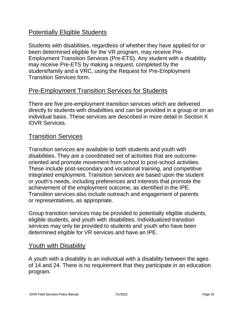# <span id="page-36-0"></span>**Potentially Eligible Students**

<u>Potentially Eligible Students</u><br>Students with disabilities, regardless of whether they have applied for or been determined eligible for the VR program, may receive Pre- Employment Transition Services (Pre-ETS). Any student with a disability may receive Pre-ETS by making a request, completed by the student/family and a VRC, using the Request for Pre-Employment Transition Services form.

# <span id="page-36-1"></span>Pre-Employment Transition Services for Students

 directly to students with disabilities and can be provided in a group or on an **IDVR Services.** There are five pre-employment transition services which are delivered individual basis. These services are described in more detail in Section X

# <span id="page-36-2"></span>**Transition Services**

 Transition services are available to both students and youth with oriented and promote movement from school to post-school activities. or youth's needs, including preferences and interests that promote the achievement of the employment outcome, as identified in the IPE. Transition services also include outreach and engagement of parents disabilities. They are a coordinated set of activities that are outcome-These include post-secondary and vocational training, and competitive integrated employment. Transition services are based upon the student or representatives, as appropriate.

 Group transition services may be provided to potentially eligible students, eligible students, and youth with disabilities. Individualized transition services may only be provided to students and youth who have been determined eligible for VR services and have an IPE.

# <span id="page-36-3"></span>Youth with Disability

A youth with a disability is an individual with a disability between the ages of 14 and 24. There is no requirement that they participate in an education program.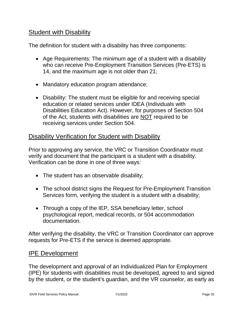# <span id="page-37-0"></span>**Student with Disability**

The definition for student with a disability has three components:

- • Age Requirements: The minimum age of a student with a disability who can receive Pre-Employment Transition Services (Pre-ETS) is 14, and the maximum age is not older than 21;
- Mandatory education program attendance;
- • Disability: The student must be eligible for and receiving special education or related services under IDEA (Individuals with Disabilities Education Act). However, for purposes of Section 504 of the Act, students with disabilities are NOT required to be receiving services under Section 504.

## <span id="page-37-1"></span>Disability Verification for Student with Disability

 Prior to approving any service, the VRC or Transition Coordinator must verify and document that the participant is a student with a disability. Verification can be done in one of three ways:

- The student has an observable disability;
- • The school district signs the Request for Pre-Employment Transition Services form, verifying the student is a student with a disability;
- • Through a copy of the IEP, SSA beneficiary letter, school psychological report, medical records, or 504 accommodation documentation.

 requests for Pre-ETS if the service is deemed appropriate. After verifying the disability, the VRC or Transition Coordinator can approve

#### <span id="page-37-2"></span>IPE Development

 (IPE) for students with disabilities must be developed, agreed to and signed by the student, or the student's guardian, and the VR counselor, as early as The development and approval of an Individualized Plan for Employment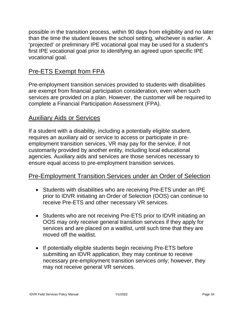than the time the student leaves the school setting, whichever is earlier. A 'projected' or preliminary IPE vocational goal may be used for a student's first IPE vocational goal prior to identifying an agreed upon specific IPE possible in the transition process, within 90 days from eligibility and no later vocational goal.

# <span id="page-38-0"></span>Pre-ETS Exempt from FPA

 Pre-employment transition services provided to students with disabilities are exempt from financial participation consideration, even when such services are provided on a plan. However, the customer will be required to complete a Financial Participation Assessment (FPA).

# <span id="page-38-1"></span>Auxiliary Aids or Services

 If a student with a disability, including a potentially eligible student, requires an auxiliary aid or service to access or participate in pre- employment transition services, VR may pay for the service, if not customarily provided by another entity, including local educational agencies. Auxiliary aids and services are those services necessary to ensure equal access to pre-employment transition services.

# <span id="page-38-2"></span>Pre-Employment Transition Services under an Order of Selection

- • Students with disabilities who are receiving Pre-ETS under an IPE prior to IDVR initiating an Order of Selection (OOS) can continue to receive Pre-ETS and other necessary VR services.
- • Students who are not receiving Pre-ETS prior to IDVR initiating an services and are placed on a waitlist, until such time that they are OOS may only receive general transition services if they apply for moved off the waitlist.
- necessary pre-employment transition services only; however, they • If potentially eligible students begin receiving Pre-ETS before submitting an IDVR application, they may continue to receive may not receive general VR services.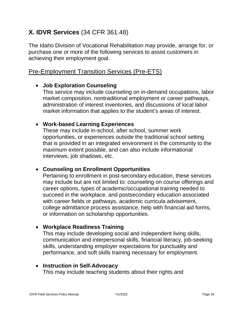# <span id="page-39-0"></span>**X. IDVR Services** (34 CFR 361.48)

The Idaho Division of Vocational Rehabilitation may provide, arrange for, or purchase one or more of the following services to assist customers in achieving their employment goal.

# <span id="page-39-1"></span>Pre-Employment Transition Services (Pre-ETS)

#### • **Job Exploration Counseling**

 market composition, nontraditional employment or career pathways, administration of interest inventories, and discussions of local labor market information that applies to the student's areas of interest. This service may include counseling on in-demand occupations, labor

#### • **Work-based Learning Experiences**

 These may include in-school, after school, summer work opportunities, or experiences outside the traditional school setting that is provided in an integrated environment in the community to the maximum extent possible, and can also include informational interviews, job shadows, etc.

#### • **Counseling on Enrollment Opportunities**

 Pertaining to enrollment in post-secondary education, these services succeed in the workplace, and postsecondary education associated may include but are not limited to: counseling on course offerings and career options, types of academic/occupational training needed to with career fields or pathways, academic curricula advisement, college admittance process assistance, help with financial aid forms, or information on scholarship opportunities.

#### • **Workplace Readiness Training**

 performance, and soft skills training necessary for employment. This may include developing social and independent living skills, communication and interpersonal skills, financial literacy, job-seeking skills, understanding employer expectations for punctuality and

#### • **Instruction in Self-Advocacy**

This may include teaching students about their rights and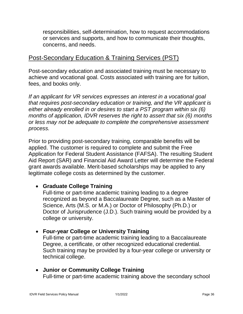responsibilities, self-determination, how to request accommodations or services and supports, and how to communicate their thoughts, concerns, and needs.

# <span id="page-40-0"></span>Post-Secondary Education & Training Services (PST)

 achieve and vocational goal. Costs associated with training are for tuition, Post-secondary education and associated training must be necessary to fees, and books only.

 *either already enrolled in or desires to start a PST program within six (6) months of application, IDVR reserves the right to assert that six (6) months or less may not be adequate to complete the comprehensive assessment If an applicant for VR services expresses an interest in a vocational goal that requires post-secondary education or training, and the VR applicant is process.* 

 Aid Report (SAR) and Financial Aid Award Letter will determine the Federal grant awards available. Merit-based scholarships may be applied to any legitimate college costs as determined by the customer. Prior to providing post-secondary training, comparable benefits will be applied. The customer is required to complete and submit the Free Application for Federal Student Assistance (FAFSA). The resulting Student

#### • **Graduate College Training**

Full-time or part-time academic training leading to a degree recognized as beyond a Baccalaureate Degree, such as a Master of Science, Arts (M.S. or M.A.) or Doctor of Philosophy (Ph.D.) or Doctor of Jurisprudence (J.D.). Such training would be provided by a college or university.

#### • **Four-year College or University Training**

 technical college. Full-time or part-time academic training leading to a Baccalaureate Degree, a certificate, or other recognized educational credential. Such training may be provided by a four-year college or university or

• **Junior or Community College Training** Full-time or part-time academic training above the secondary school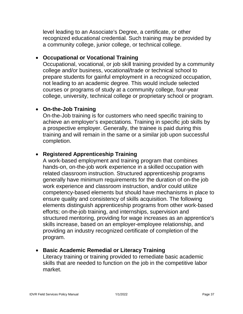level leading to an Associate's Degree, a certificate, or other a community college, junior college, or technical college. recognized educational credential. Such training may be provided by

#### • **Occupational or Vocational Training**

 Occupational, vocational, or job skill training provided by a community prepare students for gainful employment in a recognized occupation, college, university, technical college or proprietary school or program. college and/or business, vocational/trade or technical school to not leading to an academic degree. This would include selected courses or programs of study at a community college, four-year

## • **On-the-Job Training**

 On-the-Job training is for customers who need specific training to achieve an employer's expectations. Training in specific job skills by training and will remain in the same or a similar job upon successful a prospective employer. Generally, the trainee is paid during this completion.

## • **Registered Apprenticeship Training**

 related classroom instruction. Structured apprenticeship programs generally have minimum requirements for the duration of on-the job work experience and classroom instruction, and/or could utilize providing an industry recognized certificate of completion of the A work-based employment and training program that combines hands-on, on-the-job work experience in a skilled occupation with competency-based elements but should have mechanisms in place to ensure quality and consistency of skills acquisition. The following elements distinguish apprenticeship programs from other work-based efforts; on-the-job training, and internships, supervision and structured mentoring, providing for wage increases as an apprentice's skills increase, based on an employer-employee relationship, and program.

#### • **Basic Academic Remedial or Literacy Training**

Literacy training or training provided to remediate basic academic skills that are needed to function on the job in the competitive labor market.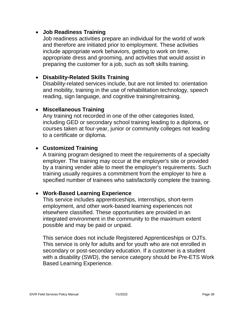#### • **Job Readiness Training**

 include appropriate work behaviors, getting to work on time, appropriate dress and grooming, and activities that would assist in preparing the customer for a job, such as soft skills training. Job readiness activities prepare an individual for the world of work and therefore are initiated prior to employment. These activities

#### • **Disability-Related Skills Training**

 and mobility, training in the use of rehabilitation technology, speech reading, sign language, and cognitive training/retraining. Disability-related services include, but are not limited to: orientation

#### • **Miscellaneous Training**

 Any training not recorded in one of the other categories listed, courses taken at four-year, junior or community colleges not leading including GED or secondary school training leading to a diploma, or to a certificate or diploma.

#### • **Customized Training**

 A training program designed to meet the requirements of a specialty training usually requires a commitment from the employer to hire a employer. The training may occur at the employer's site or provided by a training vender able to meet the employer's requirements. Such specified number of trainees who satisfactorily complete the training.

#### • **Work-Based Learning Experience**

 employment, and other work-based learning experiences not elsewhere classified. These opportunities are provided in an integrated environment in the community to the maximum extent This service includes apprenticeships, internships, short-term possible and may be paid or unpaid.

 This service does not include Registered Apprenticeships or OJTs. with a disability (SWD), the service category should be Pre-ETS Work This service is only for adults and for youth who are not enrolled in secondary or post-secondary education. If a customer is a student Based Learning Experience.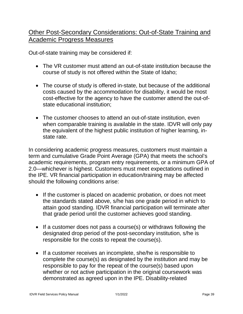# <span id="page-43-0"></span>**Academic Progress Measures** Other Post-Secondary Considerations: Out-of-State Training and

Out-of-state training may be considered if:

- • The VR customer must attend an out-of-state institution because the course of study is not offered within the State of Idaho;
- state educational institution; • The course of study is offered in-state, but because of the additional costs caused by the accommodation for disability, it would be most cost-effective for the agency to have the customer attend the out-of-
- • The customer chooses to attend an out-of-state institution, even when comparable training is available in the state. IDVR will only pay the equivalent of the highest public institution of higher learning, instate rate.

 term and cumulative Grade Point Average (GPA) that meets the school's the IPE. VR financial participation in education/training may be affected In considering academic progress measures, customers must maintain a academic requirements, program entry requirements, or a minimum GPA of 2.0—whichever is highest. Customers must meet expectations outlined in should the following conditions arise:

- • If the customer is placed on academic probation, or does not meet the standards stated above, s/he has one grade period in which to attain good standing. IDVR financial participation will terminate after that grade period until the customer achieves good standing.
- • If a customer does not pass a course(s) or withdraws following the designated drop period of the post-secondary institution, s/he is responsible for the costs to repeat the course(s).
- responsible to pay for the repeat of the course(s) based upon whether or not active participation in the original coursework was demonstrated as agreed upon in the IPE. Disability-related • If a customer receives an incomplete, she/he is responsible to complete the course(s) as designated by the institution and may be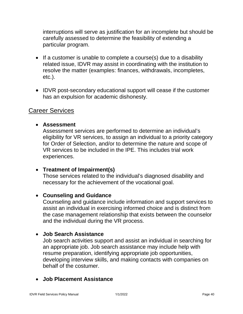interruptions will serve as justification for an incomplete but should be carefully assessed to determine the feasibility of extending a particular program.

- • If a customer is unable to complete a course(s) due to a disability related issue, IDVR may assist in coordinating with the institution to resolve the matter (examples: finances, withdrawals, incompletes, etc.).
- • IDVR post-secondary educational support will cease if the customer has an expulsion for academic dishonesty.

# <span id="page-44-0"></span>Career Services

#### • **Assessment**

 for Order of Selection, and/or to determine the nature and scope of VR services to be included in the IPE. This includes trial work Assessment services are performed to determine an individual's eligibility for VR services, to assign an individual to a priority category experiences.

#### • **Treatment of Impairment(s)**

 Those services related to the individual's diagnosed disability and necessary for the achievement of the vocational goal.

#### • **Counseling and Guidance**

 Counseling and guidance include information and support services to assist an individual in exercising informed choice and is distinct from the case management relationship that exists between the counselor and the individual during the VR process.

#### • **Job Search Assistance**

 an appropriate job. Job search assistance may include help with behalf of the costumer. Job search activities support and assist an individual in searching for resume preparation, identifying appropriate job opportunities, developing interview skills, and making contacts with companies on

#### • **Job Placement Assistance**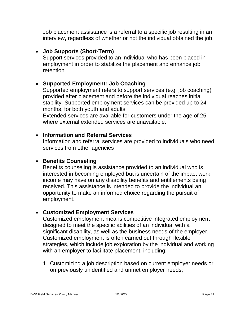Job placement assistance is a referral to a specific job resulting in an interview, regardless of whether or not the individual obtained the job.

#### • **Job Supports (Short-Term)**

 employment in order to stabilize the placement and enhance job Support services provided to an individual who has been placed in retention

#### • **Supported Employment: Job Coaching**

 stability. Supported employment services can be provided up to 24 months, for both youth and adults. Supported employment refers to support services (e.g. job coaching) provided after placement and before the individual reaches initial

Extended services are available for customers under the age of 25 where external extended services are unavailable.

#### • **Information and Referral Services**

Information and referral services are provided to individuals who need services from other agencies

#### • **Benefits Counseling**

 opportunity to make an informed choice regarding the pursuit of Benefits counseling is assistance provided to an individual who is interested in becoming employed but is uncertain of the impact work income may have on any disability benefits and entitlements being received. This assistance is intended to provide the individual an employment.

#### • **Customized Employment Services**

 Customized employment means competitive integrated employment designed to meet the specific abilities of an individual with a Customized employment is often carried out through flexible strategies, which include job exploration by the individual and working significant disability, as well as the business needs of the employer. with an employer to facilitate placement, including:

 1. Customizing a job description based on current employer needs or on previously unidentified and unmet employer needs;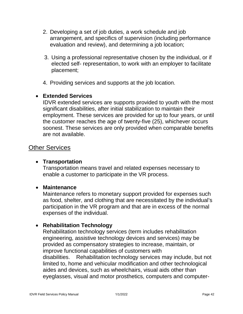- 2. Developing a set of job duties, a work schedule and job arrangement, and specifics of supervision (including performance evaluation and review), and determining a job location;
- 3. Using a professional representative chosen by the individual, or if elected self- representation, to work with an employer to facilitate placement;
- 4. Providing services and supports at the job location.

#### • **Extended Services**

 IDVR extended services are supports provided to youth with the most significant disabilities, after initial stabilization to maintain their the customer reaches the age of twenty-five (25), whichever occurs employment. These services are provided for up to four years, or until soonest. These services are only provided when comparable benefits are not available.

#### <span id="page-46-0"></span>Other Services

#### • **Transportation**

Transportation means travel and related expenses necessary to enable a customer to participate in the VR process.

#### • **Maintenance**

 Maintenance refers to monetary support provided for expenses such as food, shelter, and clothing that are necessitated by the individual's participation in the VR program and that are in excess of the normal expenses of the individual.

#### • **Rehabilitation Technology**

 engineering, assistive technology devices and services) may be disabilities. aides and devices, such as wheelchairs, visual aids other than Rehabilitation technology services (term includes rehabilitation provided as compensatory strategies to increase, maintain, or improve functional capabilities of customers with Rehabilitation technology services may include, but not limited to, home and vehicular modification and other technological eyeglasses, visual and motor prosthetics, computers and computer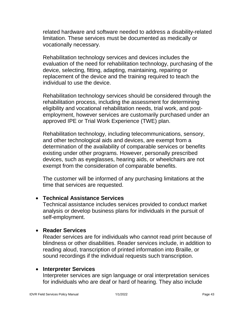related hardware and software needed to address a disability-related limitation. These services must be documented as medically or vocationally necessary.

Rehabilitation technology services and devices includes the evaluation of the need for rehabilitation technology, purchasing of the device, selecting, fitting, adapting, maintaining, repairing or replacement of the device and the training required to teach the individual to use the device.

Rehabilitation technology services should be considered through the rehabilitation process, including the assessment for determining eligibility and vocational rehabilitation needs, trial work, and postemployment, however services are customarily purchased under an approved IPE or Trial Work Experience (TWE) plan. Parvices should be prvices should be the assessment<br>abilitation needs,

approved IPE or Trial Work Experience (TWE) plan.<br>Rehabilitation technology, including telecommunications, sensory, and other technological aids and devices, are exempt from a determination of the availability of comparable services or benefits existing under other programs. However, personally prescribed devices, such as eyeglasses, hearing aids, or wheelchairs are not exempt from the consideration of comparable benefits.

The customer will be informed of any purchasing limitations at the time that services are requested.

#### • **Technical Assistance Services**

Technical assistance includes services provided to conduct market analysis or develop business plans for individuals in the pursuit of self-employment.

#### • **Reader Services**

Reader services are for individuals who cannot read print because of blindness or other disabilities. Reader services include, in addition to reading aloud, transcription of printed information into Braille, or sound recordings if the individual requests such transcription.

#### • **Interpreter Services**

Interpreter services are sign language or oral interpretation services for individuals who are deaf or hard of hearing. They also include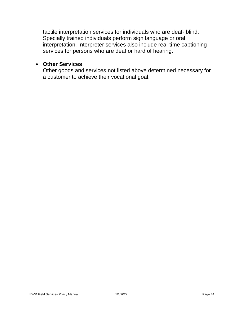interpretation. Interpreter services also include real-time captioning tactile interpretation services for individuals who are deaf- blind. Specially trained individuals perform sign language or oral services for persons who are deaf or hard of hearing.

#### • **Other Services**

 Other goods and services not listed above determined necessary for a customer to achieve their vocational goal.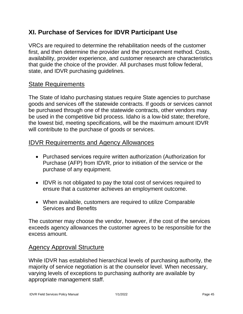# <span id="page-49-0"></span> **XI. Purchase of Services for IDVR Participant Use**

 VRCs are required to determine the rehabilitation needs of the customer first, and then determine the provider and the procurement method. Costs, that guide the choice of the provider. All purchases must follow federal, availability, provider experience, and customer research are characteristics state, and IDVR purchasing guidelines.

# <span id="page-49-1"></span>State Requirements

 The State of Idaho purchasing statues require State agencies to purchase goods and services off the statewide contracts. If goods or services cannot be purchased through one of the statewide contracts, other vendors may will contribute to the purchase of goods or services. be used in the competitive bid process. Idaho is a low-bid state; therefore, the lowest bid, meeting specifications, will be the maximum amount IDVR

# <span id="page-49-2"></span>IDVR Requirements and Agency Allowances

- • Purchased services require written authorization (Authorization for Purchase (AFP) from IDVR, prior to initiation of the service or the purchase of any equipment.
- • IDVR is not obligated to pay the total cost of services required to ensure that a customer achieves an employment outcome.
- When available, customers are required to utilize Comparable Services and Benefits

 The customer may choose the vendor, however, if the cost of the services exceeds agency allowances the customer agrees to be responsible for the excess amount.

# <span id="page-49-3"></span>Agency Approval Structure

 majority of service negotiation is at the counselor level. When necessary, appropriate management staff. While IDVR has established hierarchical levels of purchasing authority, the varying levels of exceptions to purchasing authority are available by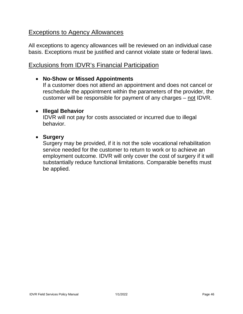# <span id="page-50-0"></span>**Exceptions to Agency Allowances**

All exceptions to agency allowances will be reviewed on an individual case basis. Exceptions must be justified and cannot violate state or federal laws.

# <span id="page-50-1"></span>Exclusions from IDVR's Financial Participation

#### • **No-Show or Missed Appointments**

 If a customer does not attend an appointment and does not cancel or reschedule the appointment within the parameters of the provider, the customer will be responsible for payment of any charges – not IDVR.

#### • **Illegal Behavior**

IDVR will not pay for costs associated or incurred due to illegal behavior.

#### • **Surgery**

 service needed for the customer to return to work or to achieve an Surgery may be provided, if it is not the sole vocational rehabilitation employment outcome. IDVR will only cover the cost of surgery if it will substantially reduce functional limitations. Comparable benefits must be applied.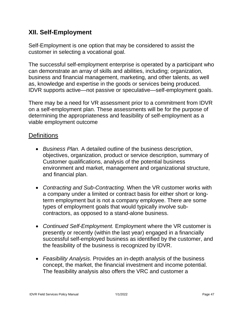# <span id="page-51-0"></span>**XII. Self-Employment**

 Self-Employment is one option that may be considered to assist the customer in selecting a vocational goal.

 The successful self-employment enterprise is operated by a participant who can demonstrate an array of skills and abilities, including; organization, business and financial management, marketing, and other talents, as well as, knowledge and expertise in the goods or services being produced. IDVR supports active—not passive or speculative—self-employment goals.

There may be a need for VR assessment prior to a commitment from IDVR on a self-employment plan. These assessments will be for the purpose of determining the appropriateness and feasibility of self-employment as a viable employment outcome

# <span id="page-51-1"></span>**Definitions**

- environment and market, management and organizational structure, • *Business Plan.* A detailed outline of the business description, objectives, organization, product or service description, summary of Customer qualifications, analysis of the potential business and financial plan.
- • *Contracting and Sub-Contracting.* When the VR customer works with a company under a limited or contract basis for either short or long- types of employment goals that would typically involve subterm employment but is not a company employee. There are some contractors, as opposed to a stand-alone business.
- *Continued Self-Employment.* Employment where the VR customer is presently or recently (within the last year) engaged in a financially successful self-employed business as identified by the customer, and the feasibility of the business is recognized by IDVR.
- concept, the market, the financial investment and income potential. The feasibility analysis also offers the VRC and customer a • *Feasibility Analysis.* Provides an in-depth analysis of the business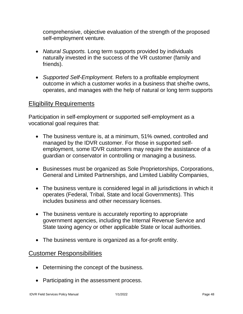comprehensive, objective evaluation of the strength of the proposed self-employment venture.

- • *Natural Supports.* Long term supports provided by individuals naturally invested in the success of the VR customer (family and friends).
- *Supported Self-Employment.* Refers to a profitable employment outcome in which a customer works in a business that she/he owns, operates, and manages with the help of natural or long term supports

## <span id="page-52-0"></span>Eligibility Requirements

 Participation in self-employment or supported self-employment as a vocational goal requires that:

- managed by the IDVR customer. For those in supported self- employment, some IDVR customers may require the assistance of a guardian or conservator in controlling or managing a business. • The business venture is, at a minimum, 51% owned, controlled and
- General and Limited Partnerships, and Limited Liability Companies, • Businesses must be organized as Sole Proprietorships, Corporations,
- operates (Federal, Tribal, State and local Governments). This • The business venture is considered legal in all jurisdictions in which it includes business and other necessary licenses.
- government agencies, including the Internal Revenue Service and • The business venture is accurately reporting to appropriate State taxing agency or other applicable State or local authorities.
- The business venture is organized as a for-profit entity.

## <span id="page-52-1"></span>Customer Responsibilities

- Determining the concept of the business.
- Participating in the assessment process.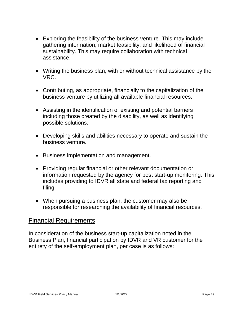- gathering information, market feasibility, and likelihood of financial • Exploring the feasibility of the business venture. This may include sustainability. This may require collaboration with technical assistance.
- • Writing the business plan, with or without technical assistance by the VRC.
- business venture by utilizing all available financial resources. • Contributing, as appropriate, financially to the capitalization of the
- Assisting in the identification of existing and potential barriers including those created by the disability, as well as identifying possible solutions.
- • Developing skills and abilities necessary to operate and sustain the business venture.
- Business implementation and management.
- Providing regular financial or other relevant documentation or information requested by the agency for post start-up monitoring. This includes providing to IDVR all state and federal tax reporting and filing
- When pursuing a business plan, the customer may also be responsible for researching the availability of financial resources.

#### <span id="page-53-0"></span>Financial Requirements

 In consideration of the business start-up capitalization noted in the Business Plan, financial participation by IDVR and VR customer for the entirety of the self-employment plan, per case is as follows: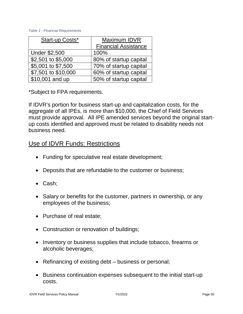#### *Table 1 - Financial Requirements*

| Start-up Costs*      | Maximum IDVR                |
|----------------------|-----------------------------|
|                      | <b>Financial Assistance</b> |
| <b>Under \$2,500</b> | 100%                        |
| \$2,501 to \$5,000   | 80% of startup capital      |
| \$5,001 to \$7,500   | 70% of startup capital      |
| \$7,501 to \$10,000  | 60% of startup capital      |
| \$10,001 and up      | 50% of startup capital      |

\*Subject to FPA requirements.

 If IDVR's portion for business start-up and capitalization costs, for the business need. aggregate of all IPEs, is more than \$10,000, the Chief of Field Services must provide approval. All IPE amended services beyond the original startup costs identified and approved must be related to disability needs not

# <span id="page-54-0"></span>Use of IDVR Funds: Restrictions

- Funding for speculative real estate development;
- Deposits that are refundable to the customer or business;
- Cash;
- • Salary or benefits for the customer, partners in ownership, or any employees of the business;
- Purchase of real estate;
- Construction or renovation of buildings;
- • Inventory or business supplies that include tobacco, firearms or alcoholic beverages;
- Refinancing of existing debt business or personal;
- Business continuation expenses subsequent to the initial start-up costs.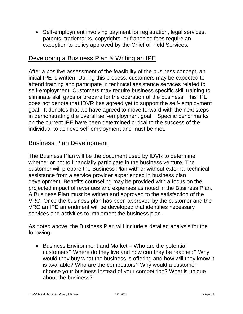patents, trademarks, copyrights, or franchise fees require an exception to policy approved by the Chief of Field Services. • Self-employment involving payment for registration, legal services,

# <span id="page-55-0"></span>Developing a Business Plan & Writing an IPE

 initial IPE is written. During this process, customers may be expected to attend training and participate in technical assistance services related to self-employment. Customers may require business specific skill training to does not denote that IDVR has agreed yet to support the self- employment goal. It denotes that we have agreed to move forward with the next steps in demonstrating the overall self-employment goal. Specific benchmarks on the current IPE have been determined critical to the success of the After a positive assessment of the feasibility of the business concept, an eliminate skill gaps or prepare for the operation of the business. This IPE individual to achieve self-employment and must be met.

# <span id="page-55-1"></span>Business Plan Development

 The Business Plan will be the document used by IDVR to determine whether or not to financially participate in the business venture. The customer will prepare the Business Plan with or without external technical assistance from a service provider experienced in business plan development. Benefits counseling may be provided with a focus on the projected impact of revenues and expenses as noted in the Business Plan. A Business Plan must be written and approved to the satisfaction of the VRC. Once the business plan has been approved by the customer and the VRC an IPE amendment will be developed that identifies necessary services and activities to implement the business plan.

 As noted above, the Business Plan will include a detailed analysis for the following:

 customers? Where do they live and how can they be reached? Why would they buy what the business is offering and how will they know it • Business Environment and Market – Who are the potential is available? Who are the competitors? Why would a customer choose your business instead of your competition? What is unique about the business?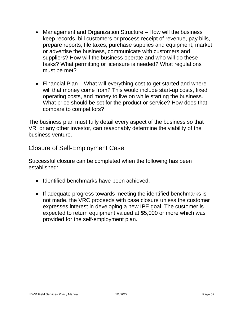- prepare reports, file taxes, purchase supplies and equipment, market suppliers? How will the business operate and who will do these tasks? What permitting or licensure is needed? What regulations • Management and Organization Structure – How will the business keep records, bill customers or process receipt of revenue, pay bills, or advertise the business, communicate with customers and must be met?
- will that money come from? This would include start-up costs, fixed What price should be set for the product or service? How does that • Financial Plan – What will everything cost to get started and where operating costs, and money to live on while starting the business. compare to competitors?

 The business plan must fully detail every aspect of the business so that VR, or any other investor, can reasonably determine the viability of the business venture.

## <span id="page-56-0"></span>Closure of Self-Employment Case

 Successful closure can be completed when the following has been established:

- Identified benchmarks have been achieved.
- If adequate progress towards meeting the identified benchmarks is not made, the VRC proceeds with case closure unless the customer expresses interest in developing a new IPE goal. The customer is expected to return equipment valued at \$5,000 or more which was provided for the self-employment plan.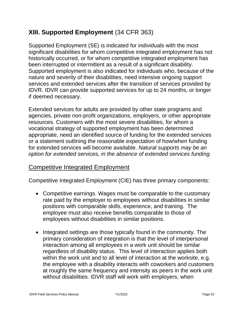# <span id="page-57-0"></span>**XIII. Supported Employment** (34 CFR 363)

 Supported Employment (SE) is indicated for individuals with the most been interrupted or intermittent as a result of a significant disability. services and extended services after the transition of services provided by IDVR. IDVR can provide supported services for up to 24 months, or longer significant disabilities for whom competitive integrated employment has not historically occurred, or for whom competitive integrated employment has Supported employment is also indicated for individuals who, because of the nature and severity of their disabilities, need intensive ongoing support if deemed necessary.

 vocational strategy of supported employment has been determined appropriate, need an identified source of funding for the extended services or a statement outlining the reasonable expectation of how/when funding for extended services will become available. *Natural supports may be an*  Extended services for adults are provided by other state programs and agencies, private non-profit organizations, employers, or other appropriate resources*.* Customers with the most severe disabilities, for whom a *option for extended services, in the absence of extended services funding.* 

# <span id="page-57-1"></span>Competitive Integrated Employment

Competitive Integrated Employment (CIE) has three primary components:

- • Competitive earnings. Wages must be comparable to the customary rate paid by the employer to employees without disabilities in similar positions with comparable skills, experience, and training. The employees without disabilities in similar positions. employee must also receive benefits comparable to those of
- primary consideration of integration is that the level of interpersonal interaction among all employees in a work unit should be similar • Integrated settings are those typically found in the community. The regardless of disability status. This level of interaction applies both within the work unit and to all level of interaction at the worksite, e.g. the employee with a disability interacts with coworkers and customers at roughly the same frequency and intensity as peers in the work unit without disabilities. IDVR staff will work with employers, when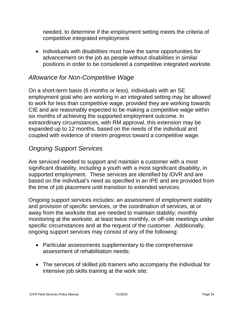needed, to determine if the employment setting meets the criteria of competitive integrated employment.

 • Individuals with disabilities must have the same opportunities for positions in order to be considered a competitive integrated worksite. advancement on the job as people without disabilities in similar

# *Allowance for Non-Competitive Wage*

 On a short-term basis (6 months or less), individuals with an SE six months of achieving the supported employment outcome. In expanded up to 12 months, based on the needs of the individual and coupled with evidence of interim progress toward a competitive wage. employment goal who are working in an integrated setting may be allowed to work for less than competitive wage, provided they are working towards CIE and are reasonably expected to be making a competitive wage within extraordinary circumstances, with RM approval, this extension may be

# *Ongoing Support Services*

 Are serviced needed to support and maintain a customer with a most the time of job placement until transition to extended services. significant disability, including a youth with a most significant disability, in supported employment. These services are identified by IDVR and are based on the individual's need as specified in an IPE and are provided from

the time of job placement until transition to extended services.<br>Ongoing support services includes: an assessment of employment stability specific circumstances and at the request of the customer. Additionally, ongoing support services may consist of any of the following: and provision of specific services, or the coordination of services, at or away from the worksite that are needed to maintain stability; monthly monitoring at the worksite, at least twice monthly, or off-site meetings under

- Particular assessments supplementary to the comprehensive assessment of rehabilitation needs;
- intensive job skills training at the work site; • The services of skilled job trainers who accompany the individual for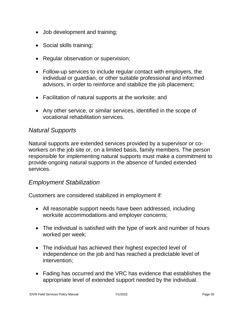- Job development and training;
- Social skills training;
- Regular observation or supervision;
- Follow-up services to include regular contact with employers, the individual or guardian, or other suitable professional and informed advisors, in order to reinforce and stabilize the job placement;
- Facilitation of natural supports at the worksite; and
- • Any other service, or similar services, identified in the scope of vocational rehabilitation services.

#### *Natural Supports*

 workers on the job site or, on a limited basis, family members. The person Natural supports are extended services provided by a supervisor or coresponsible for implementing natural supports must make a commitment to provide ongoing natural supports in the absence of funded extended services.

#### *Employment Stabilization*

Customers are considered stabilized in employment if:

- All reasonable support needs have been addressed, including worksite accommodations and employer concerns;
- The individual is satisfied with the type of work and number of hours worked per week;
- • The individual has achieved their highest expected level of independence on the job and has reached a predictable level of intervention;
- Fading has occurred and the VRC has evidence that establishes the appropriate level of extended support needed by the individual.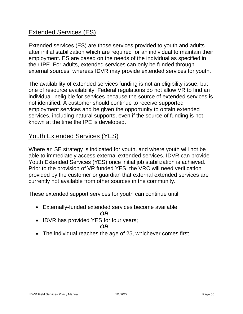# <span id="page-60-0"></span>**Extended Services (ES)**

<u>Extended Services (ES)</u><br>Extended services (ES) are those services provided to youth and adults employment. ES are based on the needs of the individual as specified in after initial stabilization which are required for an individual to maintain their their IPE. For adults, extended services can only be funded through external sources, whereas IDVR may provide extended services for youth.

 The availability of extended services funding is not an eligibility issue, but individual ineligible for services because the source of extended services is not identified. A customer should continue to receive supported services, including natural supports, even if the source of funding is not one of resource availability: Federal regulations do not allow VR to find an employment services and be given the opportunity to obtain extended known at the time the IPE is developed.

# <span id="page-60-1"></span>Youth Extended Services (YES)

Youth Extended Services (YES) once initial job stabilization is achieved.<br>Prior to the provision of VR funded YES, the VRC will need verification provided by the customer or guardian that external extended services are Where an SE strategy is indicated for youth, and where youth will not be able to immediately access external extended services, IDVR can provide currently not available from other sources in the community.

These extended support services for youth can continue until:

• Externally-funded extended services become available;

#### *OR*

• IDVR has provided YES for four years;

#### *OR*

• The individual reaches the age of 25, whichever comes first.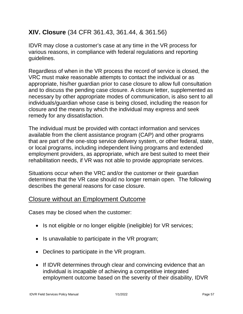# <span id="page-61-0"></span>**XIV. Closure** (34 CFR 361.43, 361.44, & 361.56)

 IDVR may close a customer's case at any time in the VR process for various reasons, in compliance with federal regulations and reporting guidelines.

 VRC must make reasonable attempts to contact the individual or as appropriate, his/her guardian prior to case closure to allow full consultation and to discuss the pending case closure. A closure letter, supplemented as necessary by other appropriate modes of communication, is also sent to all individuals/guardian whose case is being closed, including the reason for closure and the means by which the individual may express and seek Regardless of when in the VR process the record of service is closed, the remedy for any dissatisfaction.

 The individual must be provided with contact information and services that are part of the one-stop service delivery system, or other federal, state, employment providers, as appropriate, which are best suited to meet their available from the client assistance program (CAP) and other programs or local programs, including independent living programs and extended rehabilitation needs, if VR was not able to provide appropriate services.

 Situations occur when the VRC and/or the customer or their guardian determines that the VR case should no longer remain open. The following describes the general reasons for case closure.

# <span id="page-61-1"></span>Closure without an Employment Outcome

Cases may be closed when the customer:

- Is not eligible or no longer eligible (ineligible) for VR services;
- Is unavailable to participate in the VR program;
- Declines to participate in the VR program.
- • If IDVR determines through clear and convincing evidence that an employment outcome based on the severity of their disability, IDVR individual is incapable of achieving a competitive integrated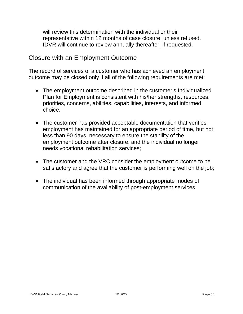will review this determination with the individual or their representative within 12 months of case closure, unless refused. IDVR will continue to review annually thereafter, if requested.

#### <span id="page-62-0"></span>Closure with an Employment Outcome

 The record of services of a customer who has achieved an employment outcome may be closed only if all of the following requirements are met:

- priorities, concerns, abilities, capabilities, interests, and informed • The employment outcome described in the customer's Individualized Plan for Employment is consistent with his/her strengths, resources, choice.
- employment has maintained for an appropriate period of time, but not less than 90 days, necessary to ensure the stability of the • The customer has provided acceptable documentation that verifies employment outcome after closure, and the individual no longer needs vocational rehabilitation services;
- • The customer and the VRC consider the employment outcome to be satisfactory and agree that the customer is performing well on the job;
- • The individual has been informed through appropriate modes of communication of the availability of post-employment services.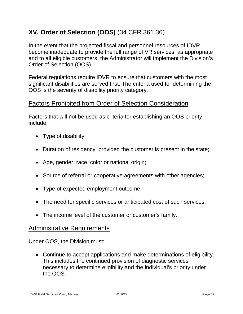# <span id="page-63-0"></span>**XV. Order of Selection (OOS)** (34 CFR 361.36)

 become inadequate to provide the full range of VR services, as appropriate In the event that the projected fiscal and personnel resources of IDVR and to all eligible customers, the Administrator will implement the Division's Order of Selection (OOS).

Federal regulations require IDVR to ensure that customers with the most significant disabilities are served first. The criteria used for determining the OOS is the severity of disability priority category.

# <span id="page-63-1"></span>Factors Prohibited from Order of Selection Consideration

 Factors that will not be used as criteria for establishing an OOS priority include:

- Type of disability;
- Duration of residency, provided the customer is present in the state;
- Age, gender, race, color or national origin;
- Source of referral or cooperative agreements with other agencies;
- Type of expected employment outcome;
- The need for specific services or anticipated cost of such services;
- The income level of the customer or customer's family.

#### <span id="page-63-2"></span>Administrative Requirements

Under OOS, the Division must:

 • Continue to accept applications and make determinations of eligibility. This includes the continued provision of diagnostic services necessary to determine eligibility and the individual's priority under the OOS.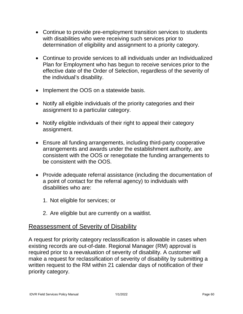- • Continue to provide pre-employment transition services to students with disabilities who were receiving such services prior to determination of eligibility and assignment to a priority category.
- Plan for Employment who has begun to receive services prior to the effective date of the Order of Selection, regardless of the severity of • Continue to provide services to all individuals under an Individualized the individual's disability.
- Implement the OOS on a statewide basis.
- • Notify all eligible individuals of the priority categories and their assignment to a particular category.
- • Notify eligible individuals of their right to appeal their category assignment.
- consistent with the OOS or renegotiate the funding arrangements to • Ensure all funding arrangements, including third-party cooperative arrangements and awards under the establishment authority, are be consistent with the OOS.
- Provide adequate referral assistance (including the documentation of a point of contact for the referral agency) to individuals with disabilities who are:
	- 1. Not eligible for services; or
	- 2. Are eligible but are currently on a waitlist.

# <span id="page-64-0"></span>**Reassessment of Severity of Disability**

 existing records are out-of-date. Regional Manager (RM) approval is make a request for reclassification of severity of disability by submitting a A request for priority category reclassification is allowable in cases when required prior to a reevaluation of severity of disability. A customer will written request to the RM within 21 calendar days of notification of their priority category.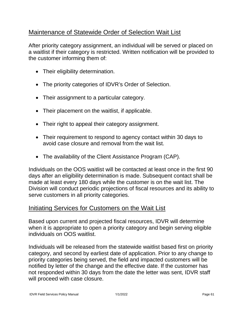# <span id="page-65-0"></span>Maintenance of Statewide Order of Selection Wait List

 a waitlist if their category is restricted. Written notification will be provided to After priority category assignment, an individual will be served or placed on the customer informing them of:

- Their eligibility determination.
- The priority categories of IDVR's Order of Selection.
- Their assignment to a particular category.
- Their placement on the waitlist, if applicable.
- Their right to appeal their category assignment.
- • Their requirement to respond to agency contact within 30 days to avoid case closure and removal from the wait list.
- The availability of the Client Assistance Program (CAP).

 Individuals on the OOS waitlist will be contacted at least once in the first 90 made at least every 180 days while the customer is on the wait list. The days after an eligibility determination is made. Subsequent contact shall be Division will conduct periodic projections of fiscal resources and its ability to serve customers in all priority categories.

#### <span id="page-65-1"></span>Initiating Services for Customers on the Wait List

individuals on OOS waitlist. Based upon current and projected fiscal resources, IDVR will determine when it is appropriate to open a priority category and begin serving eligible

individuals on OOS waitlist.<br>Individuals will be released from the statewide waitlist based first on priority priority categories being served, the field and impacted customers will be notified by letter of the change and the effective date. If the customer has not responded within 30 days from the date the letter was sent, IDVR staff category, and second by earliest date of application. Prior to any change to will proceed with case closure.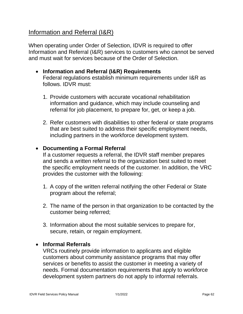# <span id="page-66-0"></span>Information and Referral (I&R)

 Information and Referral (I&R) services to customers who cannot be served and must wait for services because of the Order of Selection. When operating under Order of Selection, IDVR is required to offer

- **Information and Referral (I&R) Requirements** Federal regulations establish minimum requirements under I&R as follows. IDVR must:
	- information and guidance, which may include counseling and referral for job placement, to prepare for, get, or keep a job. 1. Provide customers with accurate vocational rehabilitation
	- that are best suited to address their specific employment needs, 2. Refer customers with disabilities to other federal or state programs including partners in the workforce development system.

#### • **Documenting a Formal Referral**

 and sends a written referral to the organization best suited to meet the specific employment needs of the customer. In addition, the VRC If a customer requests a referral, the IDVR staff member prepares provides the customer with the following:

- 1. A copy of the written referral notifying the other Federal or State program about the referral;
- 2. The name of the person in that organization to be contacted by the customer being referred;
- 3. Information about the most suitable services to prepare for, secure, retain, or regain employment.

#### • **Informal Referrals**

 customers about community assistance programs that may offer needs. Formal documentation requirements that apply to workforce VRCs routinely provide information to applicants and eligible services or benefits to assist the customer in meeting a variety of development system partners do not apply to informal referrals.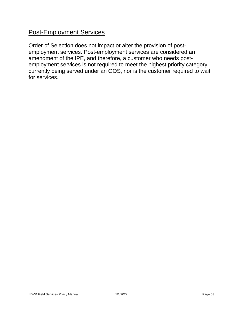# <span id="page-67-0"></span>**Post-Employment Services**

 employment services. Post-employment services are considered an amendment of the IPE, and therefore, a customer who needs post- currently being served under an OOS, nor is the customer required to wait for services. Order of Selection does not impact or alter the provision of postemployment services is not required to meet the highest priority category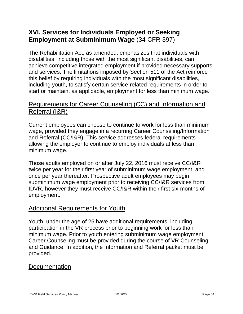# <span id="page-68-0"></span>**XVI. Services for Individuals Employed or Seeking Employment at Subminimum Wage** (34 CFR 397)

 including youth, to satisfy certain service-related requirements in order to start or maintain, as applicable, employment for less than minimum wage. The Rehabilitation Act, as amended, emphasizes that individuals with disabilities, including those with the most significant disabilities, can achieve competitive integrated employment if provided necessary supports and services. The limitations imposed by Section 511 of the Act reinforce this belief by requiring individuals with the most significant disabilities,

# <span id="page-68-1"></span>Referral (I&R) Requirements for Career Counseling (CC) and Information and

<u>Referral (I&R)</u><br>Current employees can choose to continue to work for less than minimum and Referral (CC/I&R). This service addresses federal requirements wage, provided they engage in a recurring Career Counseling/Information allowing the employer to continue to employ individuals at less than minimum wage.

 subminimum wage employment prior to receiving CC/I&R services from IDVR, however they must receive CC/I&R within their first six-months of Those adults employed on or after July 22, 2016 must receive CC/I&R twice per year for their first year of subminimum wage employment, and once per year thereafter. Prospective adult employees may begin employment.

# <span id="page-68-2"></span>Additional Requirements for Youth

 Youth, under the age of 25 have additional requirements, including participation in the VR process prior to beginning work for less than and Guidance. In addition, the Information and Referral packet must be minimum wage. Prior to youth entering subminimum wage employment, Career Counseling must be provided during the course of VR Counseling provided.

# <span id="page-68-3"></span>Documentation